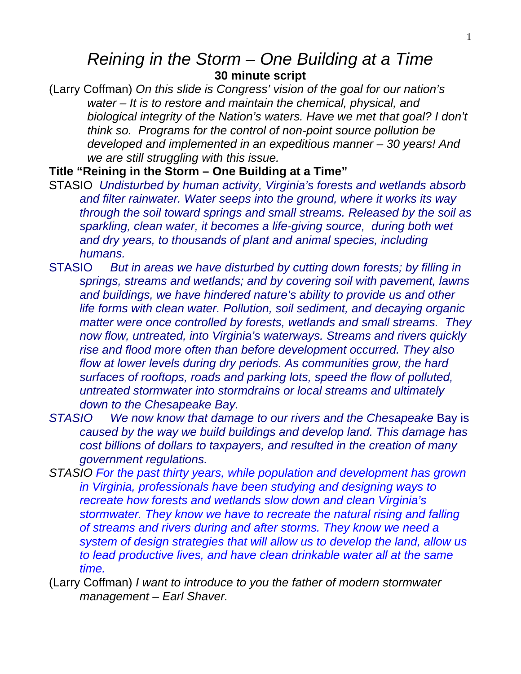## *Reining in the Storm – One Building at a Time*  **30 minute script**

(Larry Coffman) *On this slide is Congress' vision of the goal for our nation's water – It is to restore and maintain the chemical, physical, and biological integrity of the Nation's waters. Have we met that goal? I don't think so. Programs for the control of non-point source pollution be developed and implemented in an expeditious manner – 30 years! And we are still struggling with this issue.*

**Title "Reining in the Storm – One Building at a Time"** 

- STASIO *Undisturbed by human activity, Virginia's forests and wetlands absorb and filter rainwater. Water seeps into the ground, where it works its way through the soil toward springs and small streams. Released by the soil as sparkling, clean water, it becomes a life-giving source, during both wet and dry years, to thousands of plant and animal species, including humans.*
- STASIO *But in areas we have disturbed by cutting down forests; by filling in springs, streams and wetlands; and by covering soil with pavement, lawns and buildings, we have hindered nature's ability to provide us and other life forms with clean water. Pollution, soil sediment, and decaying organic matter were once controlled by forests, wetlands and small streams. They now flow, untreated, into Virginia's waterways. Streams and rivers quickly rise and flood more often than before development occurred. They also flow at lower levels during dry periods. As communities grow, the hard surfaces of rooftops, roads and parking lots, speed the flow of polluted, untreated stormwater into stormdrains or local streams and ultimately down to the Chesapeake Bay.*
- *STASIO We now know that damage to our rivers and the Chesapeake* Bay is *caused by the way we build buildings and develop land. This damage has cost billions of dollars to taxpayers, and resulted in the creation of many government regulations.*
- *STASIO For the past thirty years, while population and development has grown in Virginia, professionals have been studying and designing ways to recreate how forests and wetlands slow down and clean Virginia's stormwater. They know we have to recreate the natural rising and falling of streams and rivers during and after storms. They know we need a system of design strategies that will allow us to develop the land, allow us to lead productive lives, and have clean drinkable water all at the same time.*
- (Larry Coffman) *I want to introduce to you the father of modern stormwater management – Earl Shaver.*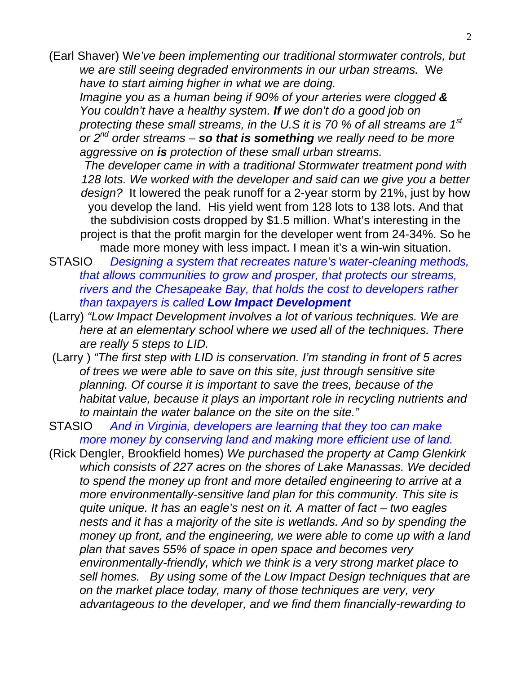(Earl Shaver) W*e've been implementing our traditional stormwater controls, but we are still seeing degraded environments in our urban streams.* W*e have to start aiming higher in what we are doing.*

 *Imagine you as a human being if 90% of your arteries were clogged & You couldn't have a healthy system. If we don't do a good job on protecting these small streams, in the U.S it is 70 % of all streams are 1st or 2nd order streams – so that is something we really need to be more aggressive on is protection of these small urban streams.*

*The developer came in with a traditional Stormwater treatment pond with 128 lots. We worked with the developer and said can we give you a better design?* It lowered the peak runoff for a 2-year storm by 21%, just by how you develop the land. His yield went from 128 lots to 138 lots. And that the subdivision costs dropped by \$1.5 million. What's interesting in the project is that the profit margin for the developer went from 24-34%. So he made more money with less impact. I mean it's a win-win situation.

STASIO *Designing a system that recreates nature's water-cleaning methods, that allows communities to grow and prosper, that protects our streams, rivers and the Chesapeake Bay, that holds the cost to developers rather than taxpayers is called Low Impact Development*

- (Larry) *"Low Impact Development involves a lot of various techniques. We are here at an elementary school* w*here we used all of the techniques. There are really 5 steps to LID.*
- (Larry ) *"The first step with LID is conservation. I'm standing in front of 5 acres of trees we were able to save on this site, just through sensitive site planning. Of course it is important to save the trees, because of the habitat value, because it plays an important role in recycling nutrients and to maintain the water balance on the site on the site."*
- STASIO *And in Virginia, developers are learning that they too can make more money by conserving land and making more efficient use of land.*
- (Rick Dengler, Brookfield homes) *We purchased the property at Camp Glenkirk which consists of 227 acres on the shores of Lake Manassas. We decided to spend the money up front and more detailed engineering to arrive at a more environmentally-sensitive land plan for this community. This site is quite unique. It has an eagle's nest on it. A matter of fact – two eagles nests and it has a majority of the site is wetlands. And so by spending the money up front, and the engineering, we were able to come up with a land plan that saves 55% of space in open space and becomes very environmentally-friendly, which we think is a very strong market place to sell homes. By using some of the Low Impact Design techniques that are on the market place today, many of those techniques are very, very advantageous to the developer, and we find them financially-rewarding to*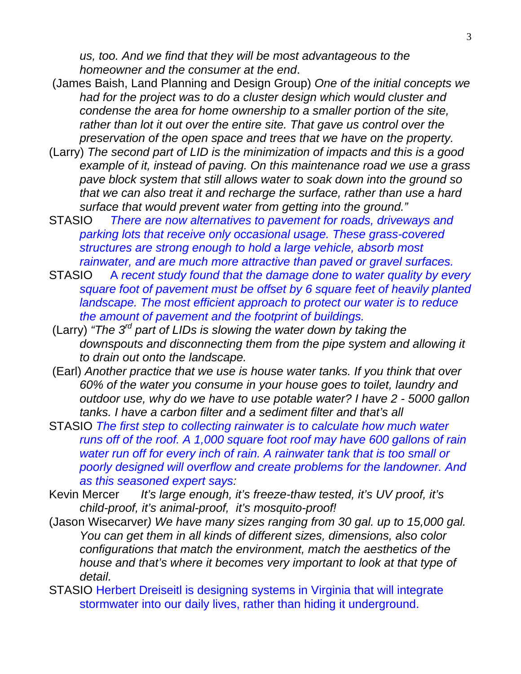*us, too. And we find that they will be most advantageous to the homeowner and the consumer at the end*.

- (James Baish, Land Planning and Design Group) *One of the initial concepts we had for the project was to do a cluster design which would cluster and condense the area for home ownership to a smaller portion of the site, rather than lot it out over the entire site. That gave us control over the preservation of the open space and trees that we have on the property.*
- (Larry) *The second part of LID is the minimization of impacts and this is a good example of it, instead of paving. On this maintenance road we use a grass pave block system that still allows water to soak down into the ground so that we can also treat it and recharge the surface, rather than use a hard surface that would prevent water from getting into the ground."*
- STASIO *There are now alternatives to pavement for roads, driveways and parking lots that receive only occasional usage. These grass-covered structures are strong enough to hold a large vehicle, absorb most rainwater, and are much more attractive than paved or gravel surfaces.*
- STASIO A *recent study found that the damage done to water quality by every square foot of pavement must be offset by 6 square feet of heavily planted landscape. The most efficient approach to protect our water is to reduce the amount of pavement and the footprint of buildings.*
- (Larry) *"The 3rd part of LIDs is slowing the water down by taking the downspouts and disconnecting them from the pipe system and allowing it to drain out onto the landscape.*
- (Earl) *Another practice that we use is house water tanks. If you think that over 60% of the water you consume in your house goes to toilet, laundry and outdoor use, why do we have to use potable water? I have 2 - 5000 gallon tanks. I have a carbon filter and a sediment filter and that's all*
- STASIO *The first step to collecting rainwater is to calculate how much water runs off of the roof. A 1,000 square foot roof may have 600 gallons of rain water run off for every inch of rain. A rainwater tank that is too small or poorly designed will overflow and create problems for the landowner. And as this seasoned expert says:*
- Kevin Mercer *It's large enough, it's freeze-thaw tested, it's UV proof, it's child-proof, it's animal-proof, it's mosquito-proof!*
- (Jason Wisecarver*) We have many sizes ranging from 30 gal. up to 15,000 gal. You can get them in all kinds of different sizes, dimensions, also color configurations that match the environment, match the aesthetics of the house and that's where it becomes very important to look at that type of detail.*
- STASIO Herbert Dreiseitl is designing systems in Virginia that will integrate stormwater into our daily lives, rather than hiding it underground.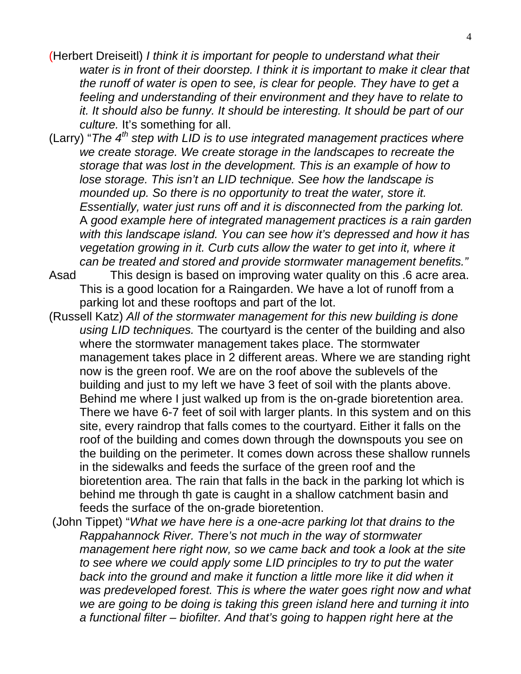- (Herbert Dreiseitl) *I think it is important for people to understand what their water is in front of their doorstep. I think it is important to make it clear that the runoff of water is open to see, is clear for people. They have to get a feeling and understanding of their environment and they have to relate to it. It should also be funny. It should be interesting. It should be part of our culture.* It's something for all.
- (Larry) "*The 4th step with LID is to use integrated management practices where we create storage. We create storage in the landscapes to recreate the storage that was lost in the development. This is an example of how to lose storage. This isn't an LID technique. See how the landscape is mounded up. So there is no opportunity to treat the water, store it. Essentially, water just runs off and it is disconnected from the parking lot.* A *good example here of integrated management practices is a rain garden with this landscape island. You can see how it's depressed and how it has vegetation growing in it. Curb cuts allow the water to get into it, where it can be treated and stored and provide stormwater management benefits."*
- Asad This design is based on improving water quality on this .6 acre area. This is a good location for a Raingarden. We have a lot of runoff from a parking lot and these rooftops and part of the lot.
- (Russell Katz) *All of the stormwater management for this new building is done using LID techniques.* The courtyard is the center of the building and also where the stormwater management takes place. The stormwater management takes place in 2 different areas. Where we are standing right now is the green roof. We are on the roof above the sublevels of the building and just to my left we have 3 feet of soil with the plants above. Behind me where I just walked up from is the on-grade bioretention area. There we have 6-7 feet of soil with larger plants. In this system and on this site, every raindrop that falls comes to the courtyard. Either it falls on the roof of the building and comes down through the downspouts you see on the building on the perimeter. It comes down across these shallow runnels in the sidewalks and feeds the surface of the green roof and the bioretention area. The rain that falls in the back in the parking lot which is behind me through th gate is caught in a shallow catchment basin and feeds the surface of the on-grade bioretention.
- (John Tippet) "*What we have here is a one-acre parking lot that drains to the Rappahannock River. There's not much in the way of stormwater management here right now, so we came back and took a look at the site to see where we could apply some LID principles to try to put the water*  back into the ground and make it function a little more like it did when it *was predeveloped forest. This is where the water goes right now and what we are going to be doing is taking this green island here and turning it into a functional filter – biofilter. And that's going to happen right here at the*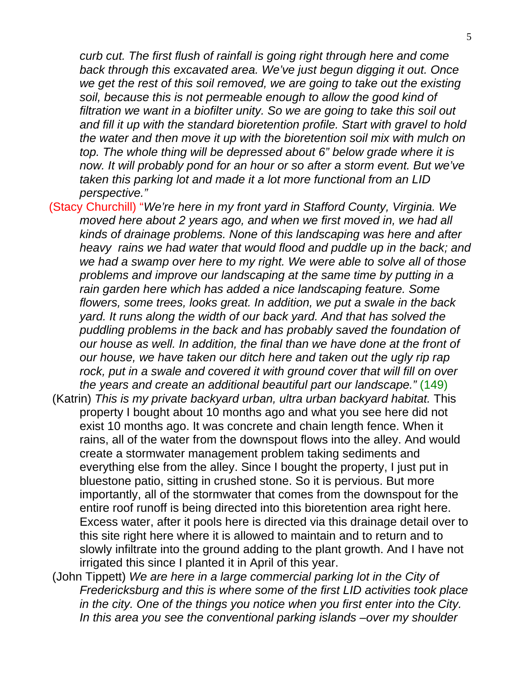*curb cut. The first flush of rainfall is going right through here and come back through this excavated area. We've just begun digging it out. Once we get the rest of this soil removed, we are going to take out the existing soil, because this is not permeable enough to allow the good kind of filtration we want in a biofilter unity. So we are going to take this soil out and fill it up with the standard bioretention profile. Start with gravel to hold the water and then move it up with the bioretention soil mix with mulch on top. The whole thing will be depressed about 6" below grade where it is*  now. It will probably pond for an hour or so after a storm event. But we've *taken this parking lot and made it a lot more functional from an LID perspective."*

- (Stacy Churchill) "*We're here in my front yard in Stafford County, Virginia. We moved here about 2 years ago, and when we first moved in, we had all kinds of drainage problems. None of this landscaping was here and after heavy rains we had water that would flood and puddle up in the back; and we had a swamp over here to my right. We were able to solve all of those problems and improve our landscaping at the same time by putting in a rain garden here which has added a nice landscaping feature. Some flowers, some trees, looks great. In addition, we put a swale in the back yard. It runs along the width of our back yard. And that has solved the puddling problems in the back and has probably saved the foundation of our house as well. In addition, the final than we have done at the front of our house, we have taken our ditch here and taken out the ugly rip rap*  rock, put in a swale and covered it with ground cover that will fill on over *the years and create an additional beautiful part our landscape."* (149)
- (Katrin) *This is my private backyard urban, ultra urban backyard habitat.* This property I bought about 10 months ago and what you see here did not exist 10 months ago. It was concrete and chain length fence. When it rains, all of the water from the downspout flows into the alley. And would create a stormwater management problem taking sediments and everything else from the alley. Since I bought the property, I just put in bluestone patio, sitting in crushed stone. So it is pervious. But more importantly, all of the stormwater that comes from the downspout for the entire roof runoff is being directed into this bioretention area right here. Excess water, after it pools here is directed via this drainage detail over to this site right here where it is allowed to maintain and to return and to slowly infiltrate into the ground adding to the plant growth. And I have not irrigated this since I planted it in April of this year.
- (John Tippett) *We are here in a large commercial parking lot in the City of Fredericksburg and this is where some of the first LID activities took place in the city. One of the things you notice when you first enter into the City. In this area you see the conventional parking islands –over my shoulder*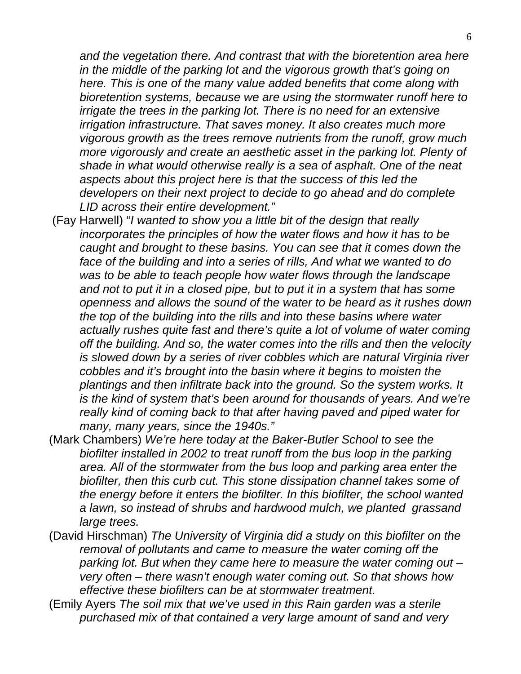*and the vegetation there. And contrast that with the bioretention area here in the middle of the parking lot and the vigorous growth that's going on here. This is one of the many value added benefits that come along with bioretention systems, because we are using the stormwater runoff here to irrigate the trees in the parking lot. There is no need for an extensive irrigation infrastructure. That saves money. It also creates much more vigorous growth as the trees remove nutrients from the runoff, grow much more vigorously and create an aesthetic asset in the parking lot. Plenty of shade in what would otherwise really is a sea of asphalt. One of the neat aspects about this project here is that the success of this led the developers on their next project to decide to go ahead and do complete LID across their entire development."* 

- (Fay Harwell) "*I wanted to show you a little bit of the design that really incorporates the principles of how the water flows and how it has to be caught and brought to these basins. You can see that it comes down the face of the building and into a series of rills, And what we wanted to do was to be able to teach people how water flows through the landscape and not to put it in a closed pipe, but to put it in a system that has some openness and allows the sound of the water to be heard as it rushes down the top of the building into the rills and into these basins where water actually rushes quite fast and there's quite a lot of volume of water coming off the building. And so, the water comes into the rills and then the velocity is slowed down by a series of river cobbles which are natural Virginia river cobbles and it's brought into the basin where it begins to moisten the plantings and then infiltrate back into the ground. So the system works. It is the kind of system that's been around for thousands of years. And we're really kind of coming back to that after having paved and piped water for many, many years, since the 1940s."*
- (Mark Chambers) *We're here today at the Baker-Butler School to see the biofilter installed in 2002 to treat runoff from the bus loop in the parking area. All of the stormwater from the bus loop and parking area enter the biofilter, then this curb cut. This stone dissipation channel takes some of the energy before it enters the biofilter. In this biofilter, the school wanted a lawn, so instead of shrubs and hardwood mulch, we planted grassand large trees.*
- (David Hirschman) *The University of Virginia did a study on this biofilter on the removal of pollutants and came to measure the water coming off the parking lot. But when they came here to measure the water coming out – very often – there wasn't enough water coming out. So that shows how effective these biofilters can be at stormwater treatment.*
- (Emily Ayers *The soil mix that we've used in this Rain garden was a sterile purchased mix of that contained a very large amount of sand and very*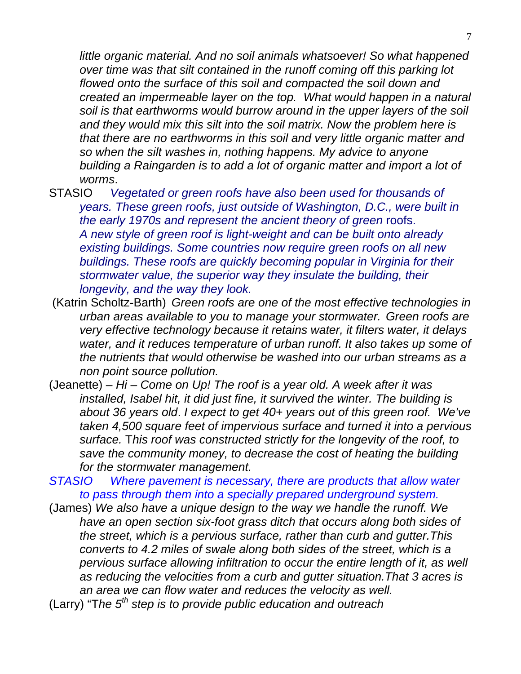*little organic material. And no soil animals whatsoever! So what happened over time was that silt contained in the runoff coming off this parking lot flowed onto the surface of this soil and compacted the soil down and created an impermeable layer on the top. What would happen in a natural soil is that earthworms would burrow around in the upper layers of the soil and they would mix this silt into the soil matrix. Now the problem here is that there are no earthworms in this soil and very little organic matter and so when the silt washes in, nothing happens. My advice to anyone building a Raingarden is to add a lot of organic matter and import a lot of worms*.

- STASIO *Vegetated or green roofs have also been used for thousands of years. These green roofs, just outside of Washington, D.C., were built in the early 1970s and represent the ancient theory of green* roofs. *A new style of green roof is light-weight and can be built onto already existing buildings. Some countries now require green roofs on all new buildings. These roofs are quickly becoming popular in Virginia for their stormwater value, the superior way they insulate the building, their longevity, and the way they look.*
- (Katrin Scholtz-Barth) *Green roofs are one of the most effective technologies in urban areas available to you to manage your stormwater. Green roofs are very effective technology because it retains water, it filters water, it delays water, and it reduces temperature of urban runoff. It also takes up some of the nutrients that would otherwise be washed into our urban streams as a non point source pollution.*
- (Jeanette) *Hi Come on Up! The roof is a year old. A week after it was installed, Isabel hit, it did just fine, it survived the winter. The building is about 36 years old*. *I expect to get 40+ years out of this green roof. We've taken 4,500 square feet of impervious surface and turned it into a pervious surface.* T*his roof was constructed strictly for the longevity of the roof, to save the community money, to decrease the cost of heating the building for the stormwater management.*

*STASIO Where pavement is necessary, there are products that allow water to pass through them into a specially prepared underground system.* 

- (James) *We also have a unique design to the way we handle the runoff. We have an open section six-foot grass ditch that occurs along both sides of the street, which is a pervious surface, rather than curb and gutter.This converts to 4.2 miles of swale along both sides of the street, which is a pervious surface allowing infiltration to occur the entire length of it, as well as reducing the velocities from a curb and gutter situation.That 3 acres is an area we can flow water and reduces the velocity as well.*
- (Larry) "T*he 5th step is to provide public education and outreach*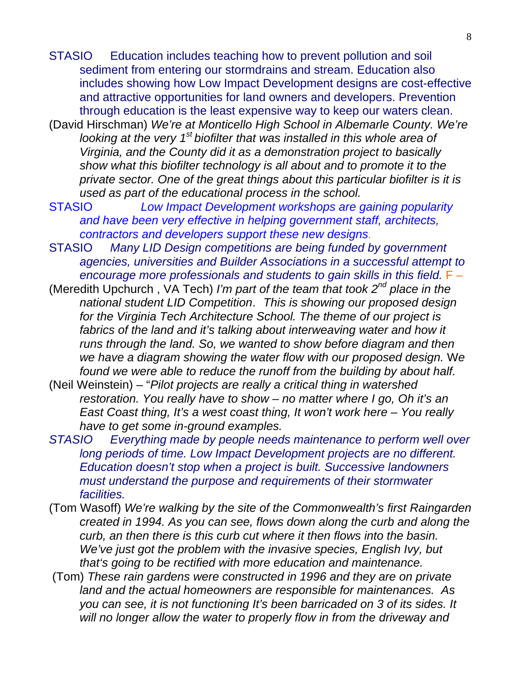- STASIO Education includes teaching how to prevent pollution and soil sediment from entering our stormdrains and stream. Education also includes showing how Low Impact Development designs are cost-effective and attractive opportunities for land owners and developers. Prevention through education is the least expensive way to keep our waters clean.
- (David Hirschman) *We're at Monticello High School in Albemarle County. We're looking at the very 1st biofilter that was installed in this whole area of Virginia, and the County did it as a demonstration project to basically show what this biofilter technology is all about and to promote it to the private sector. One of the great things about this particular biofilter is it is used as part of the educational process in the school.*
- STASIO *Low Impact Development workshops are gaining popularity and have been very effective in helping government staff, architects, contractors and developers support these new designs.*
- STASIO *Many LID Design competitions are being funded by government agencies, universities and Builder Associations in a successful attempt to encourage more professionals and students to gain skills in this field.* F –
- (Meredith Upchurch , VA Tech) *I'm part of the team that took 2nd place in the national student LID Competition*. *This is showing our proposed design for the Virginia Tech Architecture School. The theme of our project is*  fabrics of the land and it's talking about interweaving water and how it *runs through the land. So, we wanted to show before diagram and then we have a diagram showing the water flow with our proposed design.* W*e found we were able to reduce the runoff from the building by about half.*
- (Neil Weinstein) "*Pilot projects are really a critical thing in watershed restoration. You really have to show – no matter where I go, Oh it's an East Coast thing, It's a west coast thing, It won't work here – You really have to get some in-ground examples.*
- *STASIO Everything made by people needs maintenance to perform well over long periods of time. Low Impact Development projects are no different. Education doesn't stop when a project is built. Successive landowners must understand the purpose and requirements of their stormwater facilities.*
- (Tom Wasoff) *We're walking by the site of the Commonwealth's first Raingarden created in 1994. As you can see, flows down along the curb and along the curb, an then there is this curb cut where it then flows into the basin. We've just got the problem with the invasive species, English Ivy, but that's going to be rectified with more education and maintenance.*
- (Tom) *These rain gardens were constructed in 1996 and they are on private land and the actual homeowners are responsible for maintenances. As you can see, it is not functioning It's been barricaded on 3 of its sides. It will no longer allow the water to properly flow in from the driveway and*